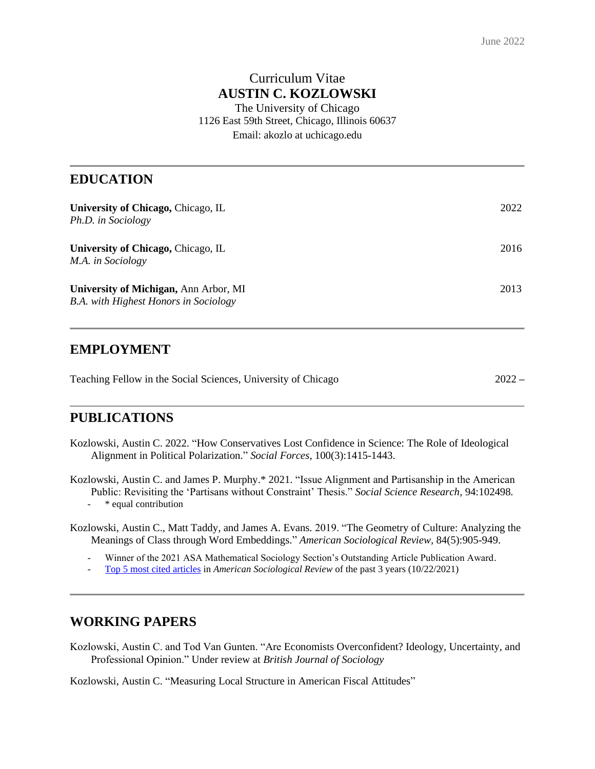### Curriculum Vitae **AUSTIN C. KOZLOWSKI**

The University of Chicago 1126 East 59th Street, Chicago, Illinois 60637 Email: akozlo at uchicago.edu

#### **EDUCATION**

| University of Chicago, Chicago, IL<br>Ph.D. in Sociology                              | 2022 |
|---------------------------------------------------------------------------------------|------|
| University of Chicago, Chicago, IL<br>M.A. in Sociology                               | 2016 |
| University of Michigan, Ann Arbor, MI<br><b>B.A.</b> with Highest Honors in Sociology | 2013 |

#### **EMPLOYMENT**

| Teaching Fellow in the Social Sciences, University of Chicago |  | $2022 -$ |
|---------------------------------------------------------------|--|----------|
|---------------------------------------------------------------|--|----------|

# **PUBLICATIONS**

Kozlowski, Austin C. 2022. "How Conservatives Lost Confidence in Science: The Role of Ideological Alignment in Political Polarization." *Social Forces,* 100(3):1415-1443.

Kozlowski, Austin C. and James P. Murphy.\* 2021. "Issue Alignment and Partisanship in the American

Public: Revisiting the 'Partisans without Constraint' Thesis." *Social Science Research,* 94:102498*. -* \* equal contribution

Kozlowski, Austin C., Matt Taddy, and James A. Evans. 2019. "The Geometry of Culture: Analyzing the Meanings of Class through Word Embeddings." *American Sociological Review,* 84(5):905-949.

*-* Winner of the 2021 ASA Mathematical Sociology Section's Outstanding Article Publication Award.

*-* [Top 5 most cited articles](https://journals.sagepub.com/action/showMostCitedArticles?journalCode=asra&) in *American Sociological Review* of the past 3 years (10/22/2021)

#### **WORKING PAPERS**

Kozlowski, Austin C. and Tod Van Gunten. "Are Economists Overconfident? Ideology, Uncertainty, and Professional Opinion." Under review at *British Journal of Sociology*

Kozlowski, Austin C. "Measuring Local Structure in American Fiscal Attitudes"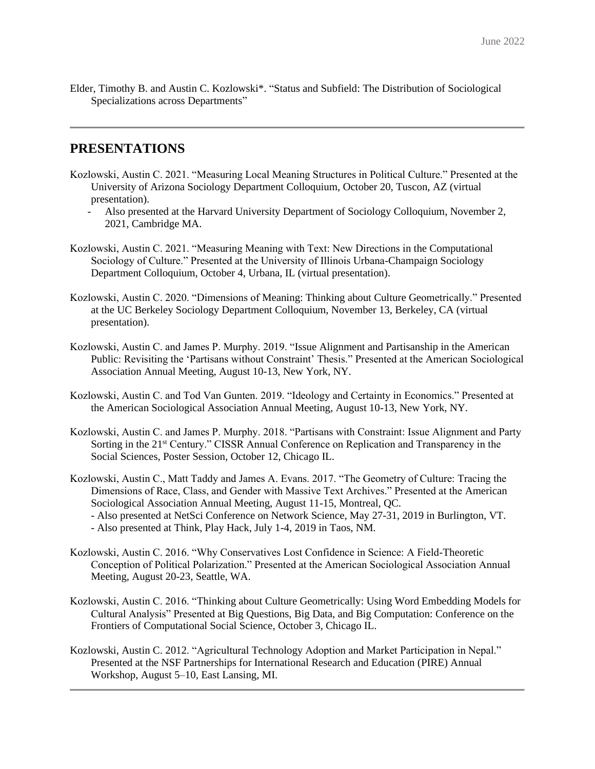Elder, Timothy B. and Austin C. Kozlowski\*. "Status and Subfield: The Distribution of Sociological Specializations across Departments"

#### **PRESENTATIONS**

- Kozlowski, Austin C. 2021. "Measuring Local Meaning Structures in Political Culture." Presented at the University of Arizona Sociology Department Colloquium, October 20, Tuscon, AZ (virtual presentation).
	- *-* Also presented at the Harvard University Department of Sociology Colloquium, November 2, 2021, Cambridge MA.
- Kozlowski, Austin C. 2021. "Measuring Meaning with Text: New Directions in the Computational Sociology of Culture." Presented at the University of Illinois Urbana-Champaign Sociology Department Colloquium, October 4, Urbana, IL (virtual presentation).
- Kozlowski, Austin C. 2020. "Dimensions of Meaning: Thinking about Culture Geometrically." Presented at the UC Berkeley Sociology Department Colloquium, November 13, Berkeley, CA (virtual presentation).
- Kozlowski, Austin C. and James P. Murphy. 2019. "Issue Alignment and Partisanship in the American Public: Revisiting the 'Partisans without Constraint' Thesis." Presented at the American Sociological Association Annual Meeting, August 10-13, New York, NY.
- Kozlowski, Austin C. and Tod Van Gunten. 2019. "Ideology and Certainty in Economics." Presented at the American Sociological Association Annual Meeting, August 10-13, New York, NY.
- Kozlowski, Austin C. and James P. Murphy. 2018. "Partisans with Constraint: Issue Alignment and Party Sorting in the 21<sup>st</sup> Century." CISSR Annual Conference on Replication and Transparency in the Social Sciences, Poster Session, October 12, Chicago IL.
- Kozlowski, Austin C., Matt Taddy and James A. Evans. 2017. "The Geometry of Culture: Tracing the Dimensions of Race, Class, and Gender with Massive Text Archives." Presented at the American Sociological Association Annual Meeting, August 11-15, Montreal, QC.
	- Also presented at NetSci Conference on Network Science, May 27-31, 2019 in Burlington, VT.
	- Also presented at Think, Play Hack, July 1-4, 2019 in Taos, NM.
- Kozlowski, Austin C. 2016. "Why Conservatives Lost Confidence in Science: A Field-Theoretic Conception of Political Polarization." Presented at the American Sociological Association Annual Meeting, August 20-23, Seattle, WA.
- Kozlowski, Austin C. 2016. "Thinking about Culture Geometrically: Using Word Embedding Models for Cultural Analysis" Presented at Big Questions, Big Data, and Big Computation: Conference on the Frontiers of Computational Social Science, October 3, Chicago IL.
- Kozlowski, Austin C. 2012. "Agricultural Technology Adoption and Market Participation in Nepal." Presented at the NSF Partnerships for International Research and Education (PIRE) Annual Workshop, August 5–10, East Lansing, MI.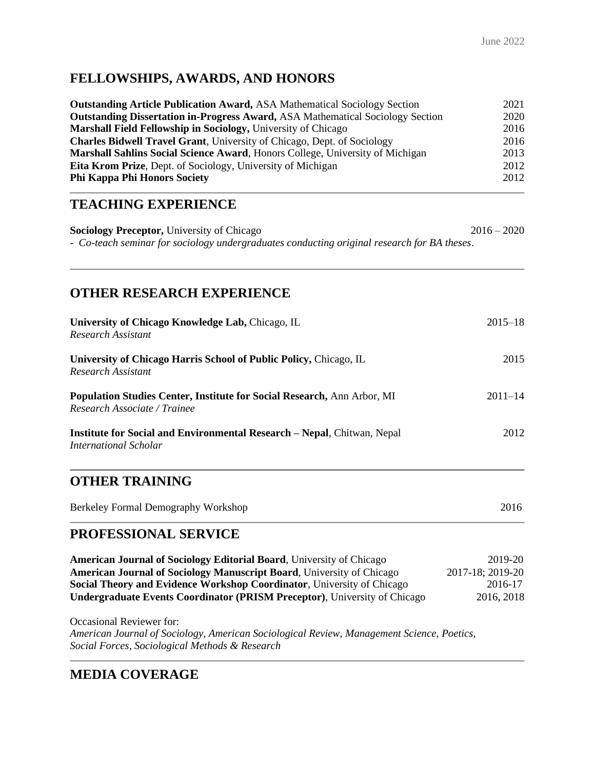# **FELLOWSHIPS, AWARDS, AND HONORS**

| <b>Outstanding Article Publication Award, ASA Mathematical Sociology Section</b>      | 2021 |
|---------------------------------------------------------------------------------------|------|
| <b>Outstanding Dissertation in-Progress Award, ASA Mathematical Sociology Section</b> | 2020 |
| Marshall Field Fellowship in Sociology, University of Chicago                         | 2016 |
| <b>Charles Bidwell Travel Grant, University of Chicago, Dept. of Sociology</b>        | 2016 |
| Marshall Sahlins Social Science Award, Honors College, University of Michigan         | 2013 |
| <b>Eita Krom Prize, Dept. of Sociology, University of Michigan</b>                    | 2012 |
| <b>Phi Kappa Phi Honors Society</b>                                                   | 2012 |

## **TEACHING EXPERIENCE**

**Sociology Preceptor,** University of Chicago 2016 – 2020 - *Co-teach seminar for sociology undergraduates conducting original research for BA theses*.

## **OTHER RESEARCH EXPERIENCE**

| University of Chicago Knowledge Lab, Chicago, IL<br><b>Research Assistant</b>                                  | $2015 - 18$ |
|----------------------------------------------------------------------------------------------------------------|-------------|
| University of Chicago Harris School of Public Policy, Chicago, IL<br>Research Assistant                        | 2015        |
| <b>Population Studies Center, Institute for Social Research, Ann Arbor, MI</b><br>Research Associate / Trainee | $2011 - 14$ |
| <b>Institute for Social and Environmental Research – Nepal, Chitwan, Nepal</b><br>International Scholar        | 2012        |
| <b>OTHER TRAINING</b>                                                                                          |             |
| Berkeley Formal Demography Workshop                                                                            | 2016        |

# **PROFESSIONAL SERVICE**

**American Journal of Sociology Editorial Board**, University of Chicago 2019-20 **American Journal of Sociology Manuscript Board**, University of Chicago 2017-18; 2019-20 **Social Theory and Evidence Workshop Coordinator**, University of Chicago 2016-17 **Undergraduate Events Coordinator (PRISM Preceptor)**, University of Chicago 2016, 2018

Occasional Reviewer for: *American Journal of Sociology, American Sociological Review, Management Science, Poetics, Social Forces, Sociological Methods & Research*

### **MEDIA COVERAGE**